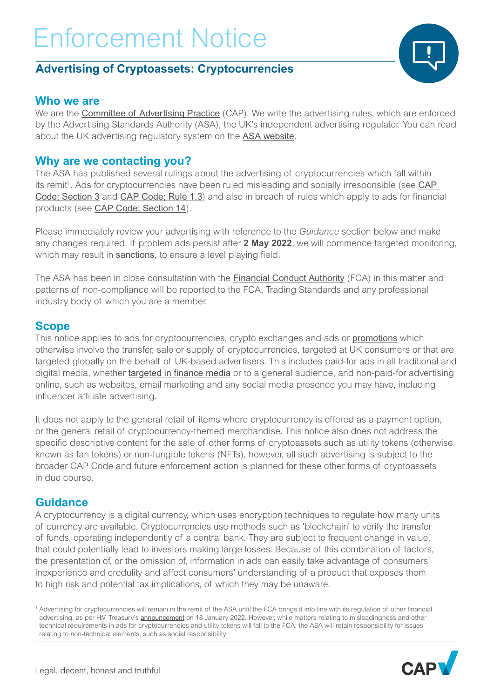### **Advertising of Cryptoassets: Cryptocurrencies**

### **Who we are**

We are the **[Committee of Advertising Practice](https://www.asa.org.uk/about-asa-and-cap.html)** (CAP). We write the advertising rules, which are enforced by the Advertising Standards Authority (ASA), the UK's independent advertising regulator. You can read about the UK advertising regulatory system on the [ASA website](https://www.asa.org.uk/about-asa-and-cap.html).

### **Why are we contacting you?**

The ASA has published several rulings about the advertising of cryptocurrencies which fall within its remit<sup>1</sup>. Ads for cryptocurrencies have been ruled misleading and socially irresponsible (see CAP [Code; Section 3](https://www.asa.org.uk/type/non_broadcast/code_section/03.html) and [CAP Code; Rule 1.3](https://www.asa.org.uk/type/non_broadcast/code_section/01.html)) and also in breach of rules which apply to ads for financial products (see [CAP Code; Section 14](https://www.asa.org.uk/type/non_broadcast/code_section/14.html)).

Please immediately review your advertising with reference to the *Guidance* section below and make any changes required. If problem ads persist after **2 May 2022**, we will commence targeted monitoring, which may result in **[sanctions](https://www.asa.org.uk/codes-and-rulings/sanctions.html)**, to ensure a level playing field.

The ASA has been in close consultation with the [Financial Conduct Authority](https://www.fca.org.uk/) (FCA) in this matter and patterns of non-compliance will be reported to the FCA, Trading Standards and any professional industry body of which you are a member.

### **Scope**

This notice applies to ads for cryptocurrencies, crypto exchanges and ads or **[promotions](https://www.asa.org.uk/rulings/papa-john-s--gb--ltd-a21-1118719-papa-john-s--gb--ltd.html)** which otherwise involve the transfer, sale or supply of cryptocurrencies, targeted at UK consumers or that are targeted globally on the behalf of UK-based advertisers. This includes paid-for ads in all traditional and digital media, whether *[targeted in finance media](https://www.asa.org.uk/rulings/etoro--uk--ltd-a21-1123324-etoro--uk--ltd.html)* or to a general audience, and non-paid-for advertising online, such as websites, email marketing and any social media presence you may have, including influencer affiliate advertising.

It does not apply to the general retail of items where cryptocurrency is offered as a payment option, or the general retail of cryptocurrency-themed merchandise. This notice also does not address the specific descriptive content for the sale of other forms of cryptoassets such as utility tokens (otherwise known as fan tokens) or non-fungible tokens (NFTs), however, all such advertising is subject to the broader CAP Code and future enforcement action is planned for these other forms of cryptoassets in due course.

### **Guidance**

A cryptocurrency is a digital currency, which uses encryption techniques to regulate how many units of currency are available. Cryptocurrencies use methods such as 'blockchain' to verify the transfer of funds, operating independently of a central bank. They are subject to frequent change in value, that could potentially lead to investors making large losses. Because of this combination of factors, the presentation of, or the omission of, information in ads can easily take advantage of consumers' inexperience and credulity and affect consumers' understanding of a product that exposes them to high risk and potential tax implications, of which they may be unaware.

<sup>1</sup> Advertising for cryptocurrencies will remain in the remit of the ASA until the FCA brings it into line with its regulation of other financial advertising, as per HM Treasury's **[announcement](https://www.gov.uk/government/news/government-to-strengthen-rules-on-misleading-cryptocurrency-adverts)** on 18 January 2022. However, while matters relating to misleadingness and other technical requirements in ads for cryptocurrencies and utility tokens will fall to the FCA, the ASA will retain responsibility for issues relating to non-technical elements, such as social responsibility.



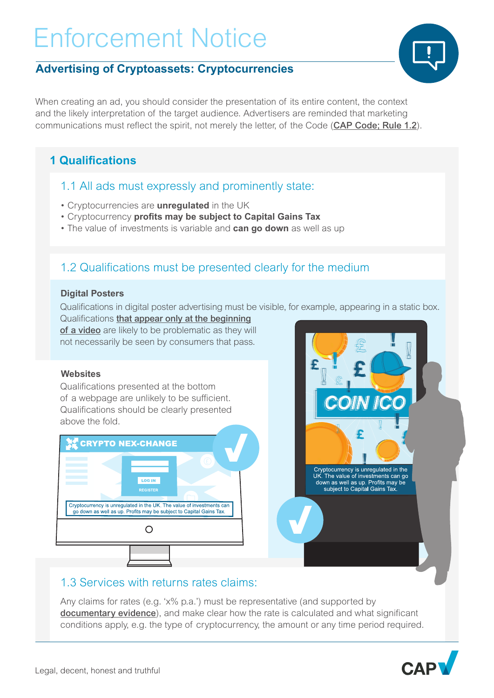## **Advertising of Cryptoassets: Cryptocurrencies**

When creating an ad, you should consider the presentation of its entire content, the context and the likely interpretation of the target audience. Advertisers are reminded that marketing communications must reflect the spirit, not merely the letter, of the Code ([CAP Code; Rule 1.2](https://www.asa.org.uk/type/non_broadcast/code_section/01.html)).

# **1 Qualifications**

### 1.1 All ads must expressly and prominently state:

- Cryptocurrencies are **unregulated** in the UK
- Cryptocurrency **profits may be subject to Capital Gains Tax**
- The value of investments is variable and **can go down** as well as up

## 1.2 Qualifications must be presented clearly for the medium

#### **Digital Posters**

Qualifications in digital poster advertising must be visible, for example, appearing in a static box.

Qualifications [that appear only at the beginning](https://www.asa.org.uk/rulings/payward-ltd-a21-1121872-payward-ltd.html) [of a video](https://www.asa.org.uk/rulings/payward-ltd-a21-1121872-payward-ltd.html) are likely to be problematic as they will not necessarily be seen by consumers that pass.

#### **Websites**

Qualifications presented at the bottom of a webpage are unlikely to be sufficient. Qualifications should be clearly presented above the fold.





## 1.3 Services with returns rates claims:

Any claims for rates (e.g. 'x% p.a.') must be representative (and supported by [documentary evidence](https://www.asa.org.uk/rulings/forisgfs-uk-ltd-a21-1122926-forisgfs-uk-ltd.html)), and make clear how the rate is calculated and what significant conditions apply, e.g. the type of cryptocurrency, the amount or any time period required.



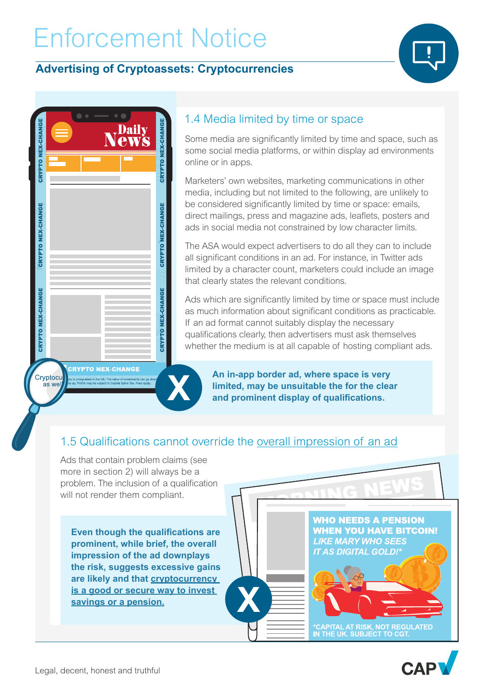### **Advertising of Cryptoassets: Cryptocurrencies**



| <b>CRYPTO NEX-CHANGE</b> | <b>Daily</b><br><b>CWS</b><br>$\tilde{\blacklozenge}$ | <b>CRYPTO NEX-CHANGE</b> |
|--------------------------|-------------------------------------------------------|--------------------------|
|                          |                                                       |                          |
| CRYPTO NEX-CHANGE        |                                                       | CRYPTO NEX-CHANGE        |
| CRYPTO NEX-CHANGE        |                                                       | <b>CRYPTO NEX-CHANGE</b> |

### 1.4 Media limited by time or space

Some media are significantly limited by time and space, such as some social media platforms, or within display ad environments online or in apps.

Marketers' own websites, marketing communications in other media, including but not limited to the following, are unlikely to be considered significantly limited by time or space: emails, direct mailings, press and magazine ads, leaflets, posters and ads in social media not constrained by low character limits.

The ASA would expect advertisers to do all they can to include all significant conditions in an ad. For instance, in Twitter ads limited by a character count, marketers could include an image that clearly states the relevant conditions.

Ads which are significantly limited by time or space must include as much information about significant conditions as practicable. If an ad format cannot suitably display the necessary qualifications clearly, then advertisers must ask themselves whether the medium is at all capable of hosting compliant ads.

**CRYPTO NEX-CHANGE** egulated in the UK. The value of investm

Cryptocu

as we

**An in-app border ad, where space is very limited, may be unsuitable the for the clear and prominent display of qualifications.**

## 1.5 Qualifications cannot override the [overall impression of an ad](https://www.asa.org.uk/rulings/coinfloor-ltd-a20-1086982-coinfloor-ltd.html)

**X**

Ads that contain problem claims (see more in section 2) will always be a problem. The inclusion of a qualification will not render them compliant.

**X**

**Even though the qualifications are prominent, while brief, the overall impression of the ad downplays the risk, suggests excessive gains are likely and that [cryptocurrency](https://www.asa.org.uk/rulings/coinfloor-ltd-a20-1086982-coinfloor-ltd.html)  [is a good or secure way to invest](https://www.asa.org.uk/rulings/coinfloor-ltd-a20-1086982-coinfloor-ltd.html)  [savings or a pension](https://www.asa.org.uk/rulings/coinfloor-ltd-a20-1086982-coinfloor-ltd.html).**

**WHO NEEDS A PENSION WHEN YOU HAVE BITCOIN! LIKE MARY WHO SEES IT AS DIGITAL GOLD!\*** \*CAPITAL AT RISK, NOT REGULATED<br>IN THE UK. SUBJECT TO CGT.

MG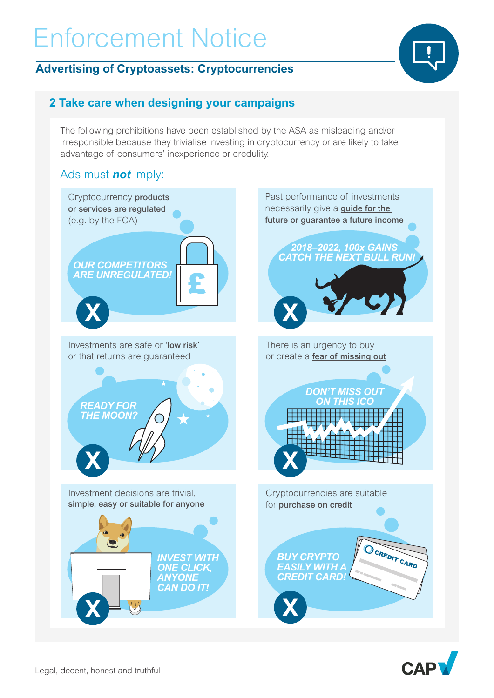### **Advertising of Cryptoassets: Cryptocurrencies**



## **2 Take care when designing your campaigns**

The following prohibitions have been established by the ASA as misleading and/or irresponsible because they trivialise investing in cryptocurrency or are likely to take advantage of consumers' inexperience or credulity.

### Ads must *not* imply: